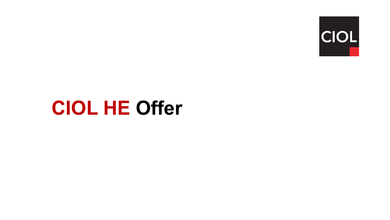

# **CIOL HE Offer**

 $\sim 10$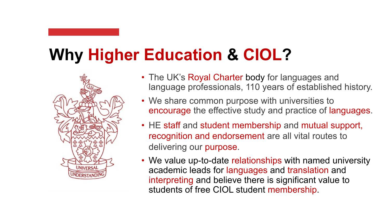# **Why Higher Education & CIOL?**



- The UK's Royal Charter body for languages and language professionals, 110 years of established history.
- We share common purpose with universities to encourage the effective study and practice of languages.
- HE staff and student membership and mutual support, recognition and endorsement are all vital routes to delivering our purpose.
- interpreting and believe there is significant value to • We value up-to-date relationships with named university academic leads for languages and translation and students of free CIOL student membership.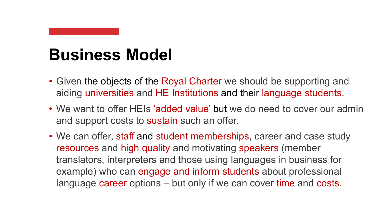#### **Business Model**

- Given the objects of the Royal Charter we should be supporting and aiding universities and HE Institutions and their language students.
- We want to offer HEIs 'added value' but we do need to cover our admin and support costs to sustain such an offer.
- language career options but only if we can cover time and costs. • We can offer, staff and student memberships, career and case study resources and high quality and motivating speakers (member translators, interpreters and those using languages in business for example) who can engage and inform students about professional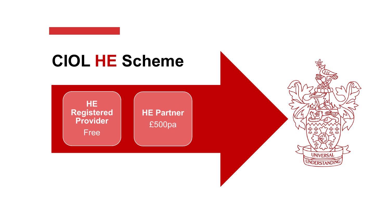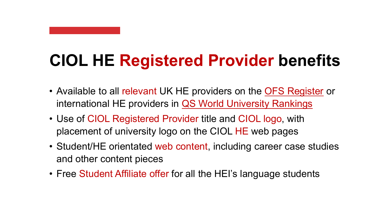# **CIOL HE Registered Provider benefits**

- Available to all relevant UK HE providers on the **[OFS Register](https://www.officeforstudents.org.uk/advice-and-guidance/the-register/the-ofs-register/)** or international HE providers in [QS World University Rankings](https://www.topuniversities.com/university-rankings/world-university-rankings/2023)
- Use of CIOL Registered Provider title and CIOL logo, with placement of university logo on the CIOL HE web pages
- Student/HE orientated web content, including career case studies and other content pieces
- Free Student Affiliate offer for all the HEI's language students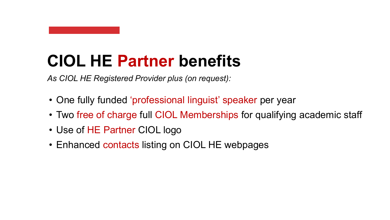#### **CIOL HE Partner benefits**

*As CIOL HE Registered Provider plus (on request):* 

- One fully funded 'professional linguist' speaker per year
- Two free of charge full CIOL Memberships for qualifying academic staff
- Use of HE Partner CIOL logo
- Enhanced contacts listing on CIOL HE webpages